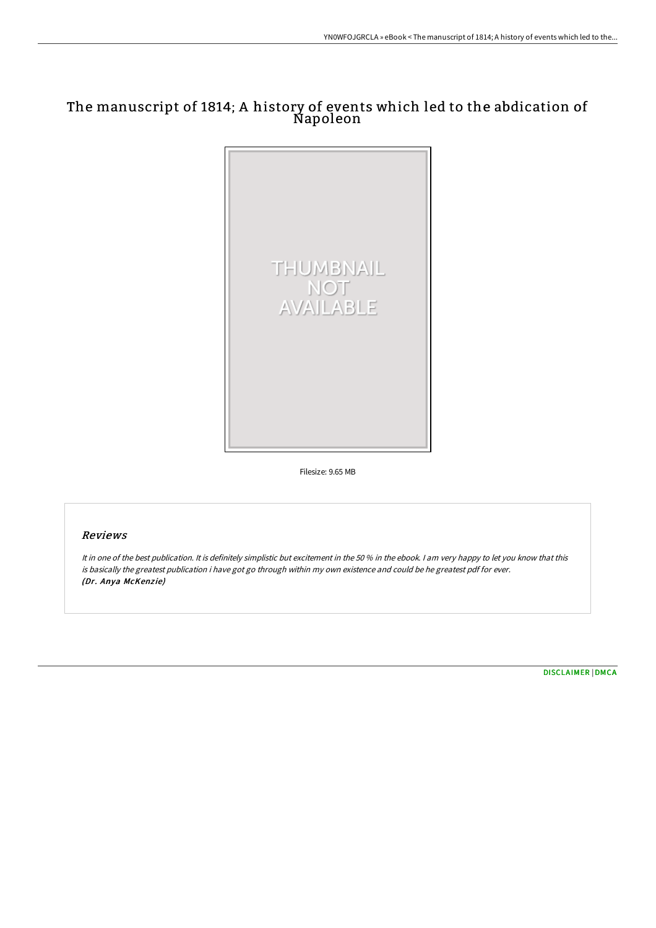## The manuscript of 1814; A history of events which led to the abdication of Napoleon



Filesize: 9.65 MB

## Reviews

It in one of the best publication. It is definitely simplistic but excitement in the 50 % in the ebook. I am very happy to let you know that this is basically the greatest publication i have got go through within my own existence and could be he greatest pdf for ever. (Dr. Anya McKenzie)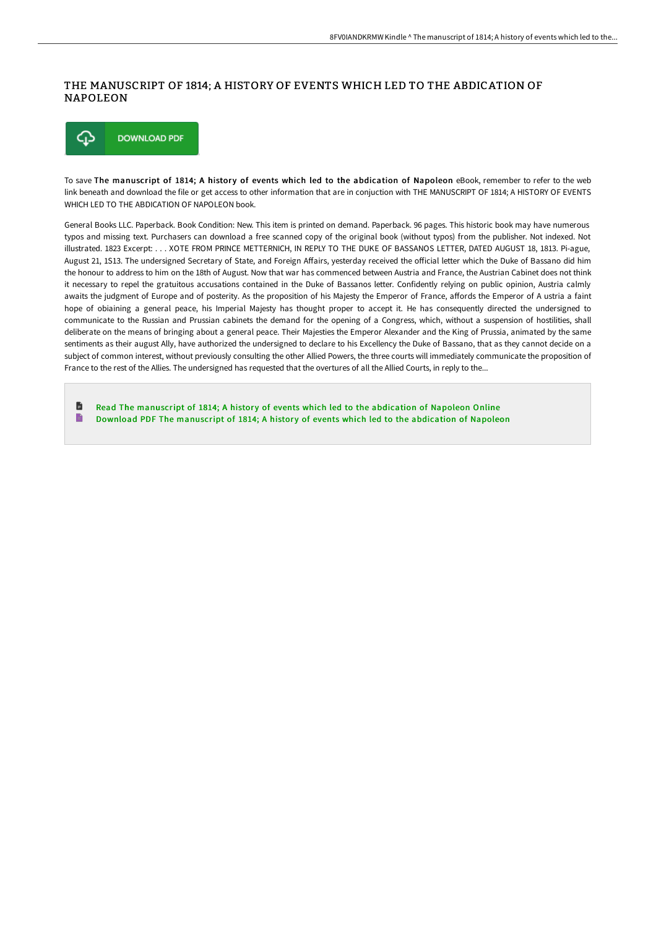## THE MANUSCRIPT OF 1814; A HISTORY OF EVENTS WHICH LED TO THE ABDICATION OF NAPOLEON



To save The manuscript of 1814; A history of events which led to the abdication of Napoleon eBook, remember to refer to the web link beneath and download the file or get access to other information that are in conjuction with THE MANUSCRIPT OF 1814; A HISTORY OF EVENTS WHICH LED TO THE ABDICATION OF NAPOLEON book.

General Books LLC. Paperback. Book Condition: New. This item is printed on demand. Paperback. 96 pages. This historic book may have numerous typos and missing text. Purchasers can download a free scanned copy of the original book (without typos) from the publisher. Not indexed. Not illustrated. 1823 Excerpt: . . . XOTE FROM PRINCE METTERNICH, IN REPLY TO THE DUKE OF BASSANOS LETTER, DATED AUGUST 18, 1813. Pi-ague, August 21, 1S13. The undersigned Secretary of State, and Foreign Affairs, yesterday received the official letter which the Duke of Bassano did him the honour to address to him on the 18th of August. Now that war has commenced between Austria and France, the Austrian Cabinet does not think it necessary to repel the gratuitous accusations contained in the Duke of Bassanos letter. Confidently relying on public opinion, Austria calmly awaits the judgment of Europe and of posterity. As the proposition of his Majesty the Emperor of France, affords the Emperor of A ustria a faint hope of obiaining a general peace, his Imperial Majesty has thought proper to accept it. He has consequently directed the undersigned to communicate to the Russian and Prussian cabinets the demand for the opening of a Congress, which, without a suspension of hostilities, shall deliberate on the means of bringing about a general peace. Their Majesties the Emperor Alexander and the King of Prussia, animated by the same sentiments as their august Ally, have authorized the undersigned to declare to his Excellency the Duke of Bassano, that as they cannot decide on a subject of common interest, without previously consulting the other Allied Powers, the three courts will immediately communicate the proposition of France to the rest of the Allies. The undersigned has requested that the overtures of all the Allied Courts, in reply to the...

**D** Read The [manuscript](http://albedo.media/the-manuscript-of-1814-a-history-of-events-which.html) of 1814; A history of events which led to the abdication of Napoleon Online  $\blacksquare$ Download PDF The [manuscript](http://albedo.media/the-manuscript-of-1814-a-history-of-events-which.html) of 1814; A history of events which led to the abdication of Napoleon